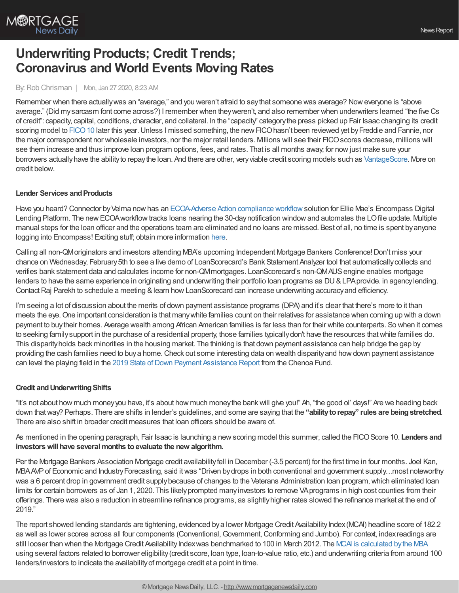

# **Underwriting Products; Credit Trends; Coronavirus and World Events Moving Rates**

## By: Rob Chrisman | Mon, Jan 27 2020, 8:23 AM

Remember when there actually was an "average," and you weren't afraid to say that someone was average? Now everyone is "above average." (Did mysarcasm font come across?) I remember when theyweren't, and also remember when underwriters learned "the five Cs of credit": capacity, capital, conditions, character, and collateral. In the "capacity" categorythe press picked up Fair Isaac changing its credit scoring model to FICO 10 later this year. Unless I missed something, the new FICO hasn't been reviewed yet by Freddie and Fannie, nor the major correspondent nor wholesale investors, nor the major retail lenders. Millions will see their FICOscores decrease, millions will see them increase and thus improve loan program options, fees, and rates. That is all months away; for nowjust make sure your borrowers actually have the ability to repay the loan. And there are other, very viable credit scoring models such as [VantageScore.](https://thescore.vantagescore.com/article/484/ford-vs-ferrrari-vantagescore-vs-fico) More on credit below.

#### **Lender Services and Products**

Have you heard? Connector byVelma nowhas an [ECOA-Adverse](http://www.meetconnector.com/#/ecoa-regb) Action compliance workflowsolution for Ellie Mae's Encompass Digital Lending Platform. The new ECOA workflow tracks loans nearing the 30-day notification window and automates the LO file update. Multiple manual steps for the loan officer and the operations team are eliminated and no loans are missed. Best of all, no time is spent byanyone logging into Encompass! Exciting stuff; obtain more information [here.](http://www.meetconnector.com/#/ecoa-regb)

Calling all non-QMoriginators and investors attending MBA's upcoming Independent Mortgage Bankers Conference!Don't miss your chance on Wednesday, February5th to see a live demo of LoanScorecard's Bank Statement Analyzer tool that automaticallycollects and verifies bank statement data and calculates income for non-QMmortgages. LoanScorecard's non-QMAUSengine enables mortgage lenders to have the same experience in originating and underwriting their portfolio loan programs as DU&LPA provide. in agency lending. Contact Raj Parekh to schedule a meeting & learn how LoanScorecard can increase underwriting accuracy and efficiency.

I'm seeing a lot of discussion about the merits of down payment assistance programs (DPA) and it's clear that there's more to it than meets the eye.One important consideration is that manywhite families count on their relatives for assistance when coming up with a down payment to buytheir homes. Average wealth among African American families is far less than for their white counterparts. So when it comes to seeking familysupport in the purchase of a residential property, those families typicallydon't have the resources thatwhite families do. This disparityholds back minorities in the housing market. The thinking is that down payment assistance can help bridge the gap by providing the cash families need to buya home.Check out some interesting data on wealth disparityand howdown payment assistance can level the playing field in the 2019 State of Down Payment [Assistance](https://chenoafund.org/lender/2019-state-of-down-payment-assistance-report/) Report from the Chenoa Fund.

#### **Credit andUnderwritingShifts**

"It's not about how much moneyyou have, it's about how much moneythe bankwill give you!" Ah, "the good ol' days!" Are we heading back down thatway? Perhaps. There are shifts in lender's guidelines, and some are saying that the **"abilitytorepay" rules are beingstretched**. There are also shift in broader credit measures that loan officers should be aware of.

As mentioned in the opening paragraph, Fair Isaac is launching a newscoring model this summer, called the FICOScore 10. **Lenders and investors will have several months to evaluate the new algorithm.** 

Per the Mortgage Bankers Association Mortgage credit availabilityfell in December (-3.5 percent) for the first time in four months. Joel Kan, MBAAVPof Economic and IndustryForecasting, said itwas "Driven bydrops in both conventional and government supply…most noteworthy was a 6 percent drop in government credit supply because of changes to the Veterans Administration loan program, which eliminated loan limits for certain borrowers as of Jan 1, 2020. This likelyprompted manyinvestors to remove VAprograms in high cost counties from their offerings. There was also a reduction in streamline refinance programs, as slightlyhigher rates slowed the refinance market at the end of 2019."

The report showed lending standards are tightening, evidenced by a lower Mortgage Credit Availability Index (MCAI) headline score of 182.2 as well as lower scores across all four components (Conventional, Government, Conforming and Jumbo). For context, index readings are still looser than when the Mortgage Credit Availability Indexwas benchmarked to 100 in March 2012. The MCAI is [calculated](https://www.mba.org/news-research-and-resources/research-and-economics/single-family-research/mortgage-credit-availability-index) by the MBA using several factors related to borrower eligibility(credit score, loan type, loan-to-value ratio, etc.) and underwriting criteria from around 100 lenders/investors to indicate the availabilityof mortgage credit at a point in time.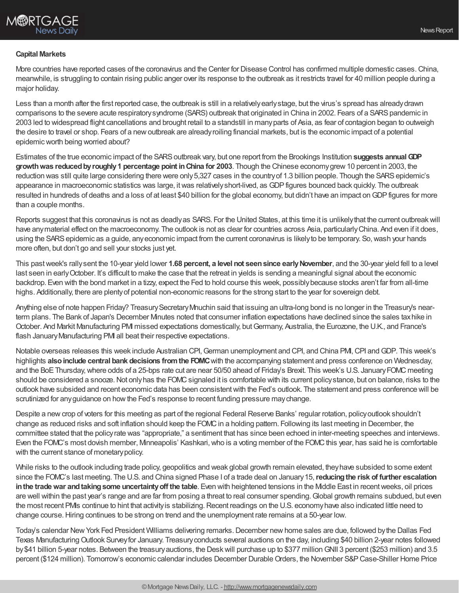

#### **Capital Markets**

More countries have reported cases of the coronavirus and the Center for Disease Control has confirmed multiple domestic cases. China, meanwhile, is struggling to contain rising public anger over its response to the outbreak as it restricts travel for 40 million people during a major holiday.

Less than a month after the first reported case, the outbreak is still in a relatively early stage, but the virus's spread has already drawn comparisons to the severe acute respiratory syndrome (SARS) outbreak that originated in China in 2002. Fears of a SARS pandemic in 2003 led to widespread flight cancellations and brought retail to a standstill in manyparts of Asia, as fear of contagion began to outweigh the desire to travel or shop. Fears of a newoutbreak are alreadyroiling financial markets, but is the economic impact of a potential epidemicworth being worried about?

Estimates of the true economic impact of the SARSoutbreak vary, but one report from the Brookings Institution **suggests annualGDP growthwas reducedbyroughly1 percentage point inChina for 2003**. Though the Chinese economygrew10 percent in 2003, the reduction was still quite large considering there were only 5,327 cases in the country of 1.3 billion people. Though the SARS epidemic's appearance in macroeconomic statistics was large, itwas relativelyshort-lived, as GDPfigures bounced back quickly. The outbreak resulted in hundreds of deaths and a loss of at least \$40 billion for the global economy, but didn't have an impact on GDP figures for more than a couple months.

Reports suggest that this coronavirus is not as deadly as SARS. For the United States, at this time it is unlikely that the current outbreak will have any material effect on the macroeconomy. The outlook is not as clear for countries across Asia, particularly China. And even if it does, using the SARS epidemic as a guide, any economic impact from the current coronavirus is likely to be temporary. So, wash your hands more often, but don't go and sell your stocks just yet.

This pastweek's rallysent the 10-year yield lower **1.68 percent, a level not seensince earlyNovember**, and the 30-year yield fell to a level last seen in earlyOctober. It's difficult to make the case that the retreat in yields is sending a meaningful signal about the economic backdrop. Even with the bond market in a tizzy, expect the Fed to hold course this week, possibly because stocks aren't far from all-time highs. Additionally, there are plentyof potential non-economic reasons for the strong start to the year for sovereign debt.

Anything else of note happen Friday? TreasurySecretaryMnuchin said that issuing an ultra-long bond is no longer in the Treasury's nearterm plans. The Bank of Japan's December Minutes noted that consumer inflation expectations have declined since the sales taxhike in October. And Markit Manufacturing PMI missed expectations domestically, butGermany, Australia, the Eurozone, the U.K., and France's flash January Manufacturing PMI all beat their respective expectations.

Notable overseas releases this week include Australian CPI, German unemployment and CPI, and China PMI, CPI and GDP. This week's highlights **alsoinclude central bank decisions fromthe FOMC**with the accompanying statement and press conference on Wednesday, and the BoE Thursday, where odds of a 25-bps rate cut are near 50/50 ahead of Friday's Brexit. This week's U.S. January FOMC meeting should be considered a snooze. Not only has the FOMC signaled it is comfortable with its current policy stance, but on balance, risks to the outlook have subsided and recent economic data has been consistentwith the Fed's outlook. The statement and press conference will be scrutinized for anyguidance on howthe Fed's response to recent funding pressure maychange.

Despite a new crop of voters for this meeting as part of the regional Federal Reserve Banks' regular rotation, policy outlook shouldn't change as reduced risks and soft inflation should keep the FOMC in a holding pattern. Following its last meeting in December, the committee stated that the policyrate was "appropriate," a sentiment that has since been echoed in inter-meeting speeches and interviews. Even the FOMC's most dovish member, Minneapolis' Kashkari, who is a voting member of the FOMC this year, has said he is comfortable with the current stance of monetary policy.

While risks to the outlook including trade policy, geopolitics and weak global growth remain elevated, theyhave subsided to some extent since the FOMC's last meeting. The U.S. and China signed Phase I of a trade deal on January15,**reducingthe risk of further escalation inthe tradewar andtakingsome uncertaintyoff the table**. Even with heightened tensions in the Middle East in recentweeks, oil prices are well within the past year's range and are far from posing a threat to real consumer spending.Global growth remains subdued, but even the most recent PMIs continue to hint that activity is stabilizing. Recent readings on the U.S. economy have also indicated little need to change course.Hiring continues to be strong on trend and the unemployment rate remains at a 50-year low.

Today's calendar New York Fed President Williams delivering remarks. December new home sales are due, followed by the Dallas Fed Texas ManufacturingOutlook Surveyfor January. Treasuryconducts several auctions on the day, including \$40 billion 2-year notes followed by\$41 billion 5-year notes. Between the treasuryauctions, the Deskwill purchase up to \$377 millionGNII 3 percent (\$253 million) and 3.5 percent (\$124 million). Tomorrow's economic calendar includes December Durable Orders, the November S&P Case-Shiller Home Price